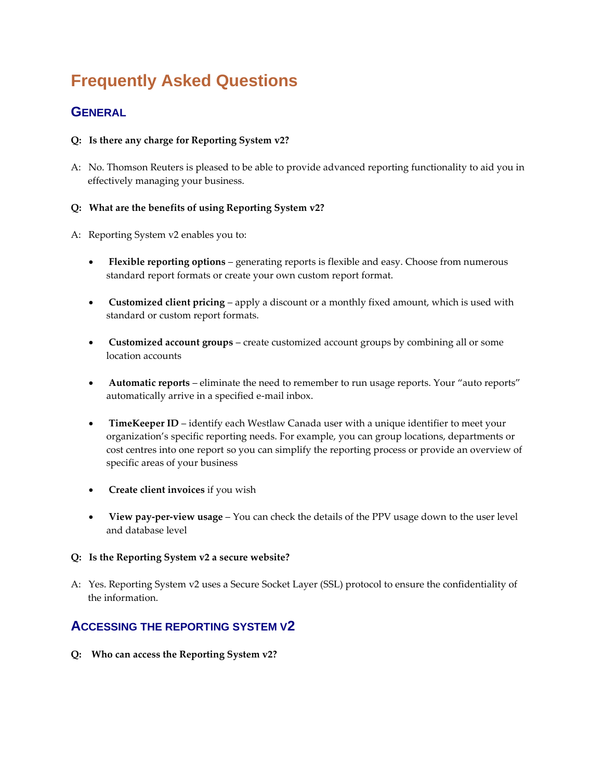# **Frequently Asked Questions**

# **GENERAL**

#### **Q: Is there any charge for Reporting System v2?**

A: No. Thomson Reuters is pleased to be able to provide advanced reporting functionality to aid you in effectively managing your business.

#### **Q: What are the benefits of using Reporting System v2?**

- A: Reporting System v2 enables you to:
	- **Flexible reporting options** generating reports is flexible and easy. Choose from numerous standard report formats or create your own custom report format.
	- **Customized client pricing** apply a discount or a monthly fixed amount, which is used with standard or custom report formats.
	- **Customized account groups** create customized account groups by combining all or some location accounts
	- **Automatic reports** eliminate the need to remember to run usage reports. Your "auto reports" automatically arrive in a specified e-mail inbox.
	- **TimeKeeper ID** identify each Westlaw Canada user with a unique identifier to meet your organization's specific reporting needs. For example, you can group locations, departments or cost centres into one report so you can simplify the reporting process or provide an overview of specific areas of your business
	- **Create client invoices** if you wish
	- **View pay-per-view usage** You can check the details of the PPV usage down to the user level and database level

#### **Q: Is the Reporting System v2 a secure website?**

A: Yes. Reporting System v2 uses a Secure Socket Layer (SSL) protocol to ensure the confidentiality of the information.

# **ACCESSING THE REPORTING SYSTEM V2**

**Q: Who can access the Reporting System v2?**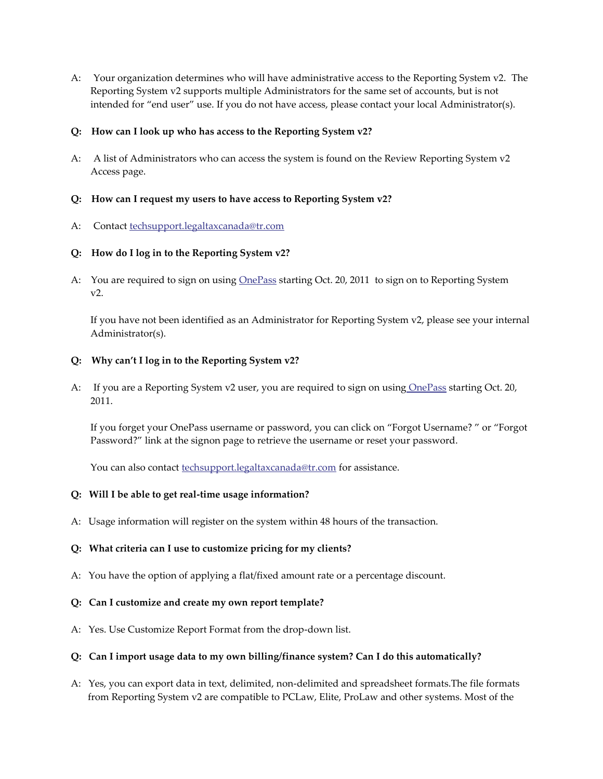A: Your organization determines who will have administrative access to the Reporting System v2. The Reporting System v2 supports multiple Administrators for the same set of accounts, but is not intended for "end user" use. If you do not have access, please contact your local Administrator(s).

#### **Q: How can I look up who has access to the Reporting System v2?**

A: A list of Administrators who can access the system is found on the Review Reporting System v2 Access page.

#### **Q: How can I request my users to have access to Reporting System v2?**

A: Contact [techsupport.legaltaxcanada@tr.com](mailto:techsupport.legaltaxcanada@tr.com)

#### **Q: How do I log in to the Reporting System v2?**

A: You are required to sign on using [OnePass](https://store1.thomsonreuters.ca/learning/westlawnextcanada/onepass) starting Oct. 20, 2011 to sign on to Reporting System v2.

If you have not been identified as an Administrator for Reporting System v2, please see your internal Administrator(s).

#### **Q: Why can't I log in to the Reporting System v2?**

A: If you are a Reporting System v2 user, you are required to sign on using [OnePass](https://store1.thomsonreuters.ca/learning/westlawnextcanada/onepass) starting Oct. 20, 2011.

If you forget your OnePass username or password, you can click on "Forgot Username? " or "Forgot Password?" link at the signon page to retrieve the username or reset your password.

You can also contact **techsupport**.legaltaxcanada@tr.com for assistance.

#### **Q: Will I be able to get real-time usage information?**

A: Usage information will register on the system within 48 hours of the transaction.

#### **Q: What criteria can I use to customize pricing for my clients?**

- A: You have the option of applying a flat/fixed amount rate or a percentage discount.
- **Q: Can I customize and create my own report template?**
- A: Yes. Use Customize Report Format from the drop-down list.

#### **Q: Can I import usage data to my own billing/finance system? Can I do this automatically?**

A: Yes, you can export data in text, delimited, non-delimited and spreadsheet formats.The file formats from Reporting System v2 are compatible to PCLaw, Elite, ProLaw and other systems. Most of the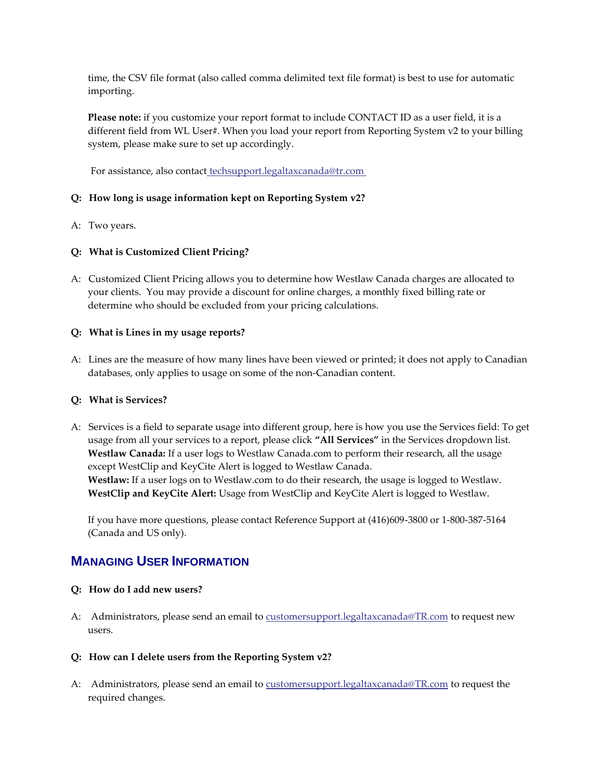time, the CSV file format (also called comma delimited text file format) is best to use for automatic importing.

**Please note:** if you customize your report format to include CONTACT ID as a user field, it is a different field from WL User#. When you load your report from Reporting System v2 to your billing system, please make sure to set up accordingly.

For assistance, also contact [techsupport.legaltaxcanada@tr.com](mailto:techsupport.legaltaxcanada@tr.com)

#### **Q: How long is usage information kept on Reporting System v2?**

A: Two years.

#### **Q: What is Customized Client Pricing?**

A: Customized Client Pricing allows you to determine how Westlaw Canada charges are allocated to your clients. You may provide a discount for online charges, a monthly fixed billing rate or determine who should be excluded from your pricing calculations.

#### **Q: What is Lines in my usage reports?**

A: Lines are the measure of how many lines have been viewed or printed; it does not apply to Canadian databases, only applies to usage on some of the non-Canadian content.

#### **Q: What is Services?**

A: Services is a field to separate usage into different group, here is how you use the Services field: To get usage from all your services to a report, please click **"All Services"** in the Services dropdown list. **Westlaw Canada:** If a user logs to Westlaw Canada.com to perform their research, all the usage except WestClip and KeyCite Alert is logged to Westlaw Canada. **Westlaw:** If a user logs on to Westlaw.com to do their research, the usage is logged to Westlaw. **WestClip and KeyCite Alert:** Usage from WestClip and KeyCite Alert is logged to Westlaw.

If you have more questions, please contact Reference Support at (416)609-3800 or 1-800-387-5164 (Canada and US only).

## **MANAGING USER INFORMATION**

#### **Q: How do I add new users?**

- A: Administrators, please send an email to [customersupport.legaltaxcanada@TR.com](mailto:customersupport.legaltaxcanada@TR.com) to request new users.
- **Q: How can I delete users from the Reporting System v2?**
- A: Administrators, please send an email to **customersupport**.legaltaxcanada@TR.com</u> to request the required changes.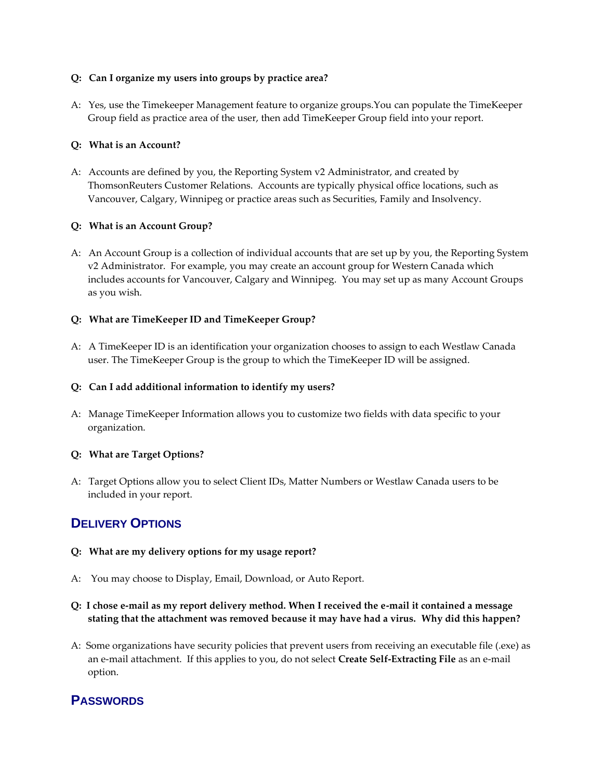#### **Q: Can I organize my users into groups by practice area?**

A: Yes, use the Timekeeper Management feature to organize groups.You can populate the TimeKeeper Group field as practice area of the user, then add TimeKeeper Group field into your report.

#### **Q: What is an Account?**

A: Accounts are defined by you, the Reporting System v2 Administrator, and created by ThomsonReuters Customer Relations. Accounts are typically physical office locations, such as Vancouver, Calgary, Winnipeg or practice areas such as Securities, Family and Insolvency.

#### **Q: What is an Account Group?**

A: An Account Group is a collection of individual accounts that are set up by you, the Reporting System v2 Administrator. For example, you may create an account group for Western Canada which includes accounts for Vancouver, Calgary and Winnipeg. You may set up as many Account Groups as you wish.

#### **Q: What are TimeKeeper ID and TimeKeeper Group?**

A: A TimeKeeper ID is an identification your organization chooses to assign to each Westlaw Canada user. The TimeKeeper Group is the group to which the TimeKeeper ID will be assigned.

#### **Q: Can I add additional information to identify my users?**

A: Manage TimeKeeper Information allows you to customize two fields with data specific to your organization.

#### **Q: What are Target Options?**

A: Target Options allow you to select Client IDs, Matter Numbers or Westlaw Canada users to be included in your report.

## **DELIVERY OPTIONS**

- **Q: What are my delivery options for my usage report?**
- A: You may choose to Display, Email, Download, or Auto Report.
- **Q: I chose e-mail as my report delivery method. When I received the e-mail it contained a message stating that the attachment was removed because it may have had a virus. Why did this happen?**
- A: Some organizations have security policies that prevent users from receiving an executable file (.exe) as an e-mail attachment. If this applies to you, do not select **Create Self-Extracting File** as an e-mail option.

## **PASSWORDS**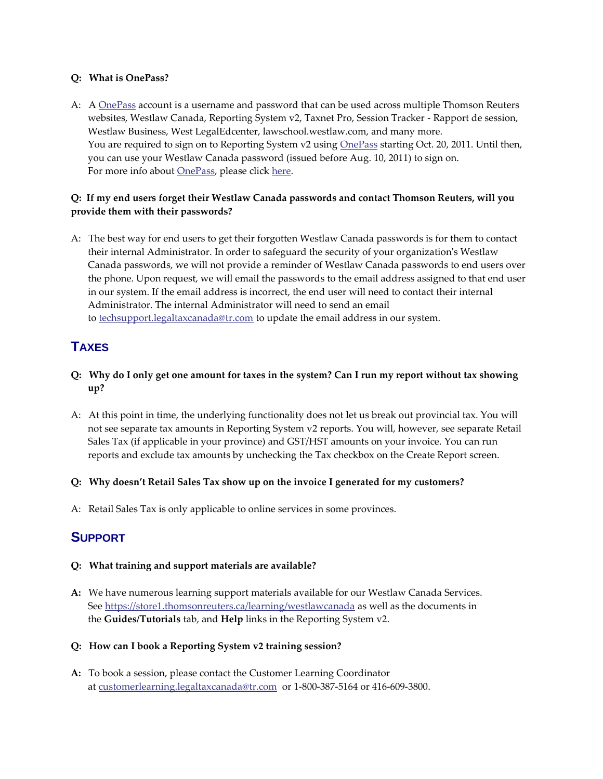#### **Q: What is OnePass?**

A: A [OnePass](https://store1.thomsonreuters.ca/learning/westlawnextcanada/onepass) account is a username and password that can be used across multiple Thomson Reuters websites, Westlaw Canada, Reporting System v2, Taxnet Pro, Session Tracker - Rapport de session, Westlaw Business, West LegalEdcenter, lawschool.westlaw.com, and many more. You are required to sign on to Reporting System v2 using **[OnePass](https://store1.thomsonreuters.ca/learning/westlawnextcanada/onepass) starting Oct. 20, 2011.** Until then, you can use your Westlaw Canada password (issued before Aug. 10, 2011) to sign on. For more info about **OnePass**, please click [here.](https://store1.thomsonreuters.ca/learning/westlawnextcanada/onepass)

#### **Q: If my end users forget their Westlaw Canada passwords and contact Thomson Reuters, will you provide them with their passwords?**

A: The best way for end users to get their forgotten Westlaw Canada passwords is for them to contact their internal Administrator. In order to safeguard the security of your organization's Westlaw Canada passwords, we will not provide a reminder of Westlaw Canada passwords to end users over the phone. Upon request, we will email the passwords to the email address assigned to that end user in our system. If the email address is incorrect, the end user will need to contact their internal Administrator. The internal Administrator will need to send an email to [techsupport.legaltaxcanada@tr.com](mailto:techsupport.legaltaxcanada@tr.com) to update the email address in our system.

# **TAXES**

- **Q: Why do I only get one amount for taxes in the system? Can I run my report without tax showing up?**
- A: At this point in time, the underlying functionality does not let us break out provincial tax. You will not see separate tax amounts in Reporting System v2 reports. You will, however, see separate Retail Sales Tax (if applicable in your province) and GST/HST amounts on your invoice. You can run reports and exclude tax amounts by unchecking the Tax checkbox on the Create Report screen.

#### **Q: Why doesn't Retail Sales Tax show up on the invoice I generated for my customers?**

A: Retail Sales Tax is only applicable to online services in some provinces.

## **SUPPORT**

#### **Q: What training and support materials are available?**

- **A:** We have numerous learning support materials available for our Westlaw Canada Services. See <https://store1.thomsonreuters.ca/learning/westlawcanada> as well as the documents in the **Guides/Tutorials** tab, and **Help** links in the Reporting System v2.
- **Q: How can I book a Reporting System v2 training session?**
- **A:** To book a session, please contact the Customer Learning Coordinator at [customerlearning.legaltaxcanada@tr.com](mailto:customerlearning.legaltaxcanada@tr.com) or 1-800-387-5164 or 416-609-3800.